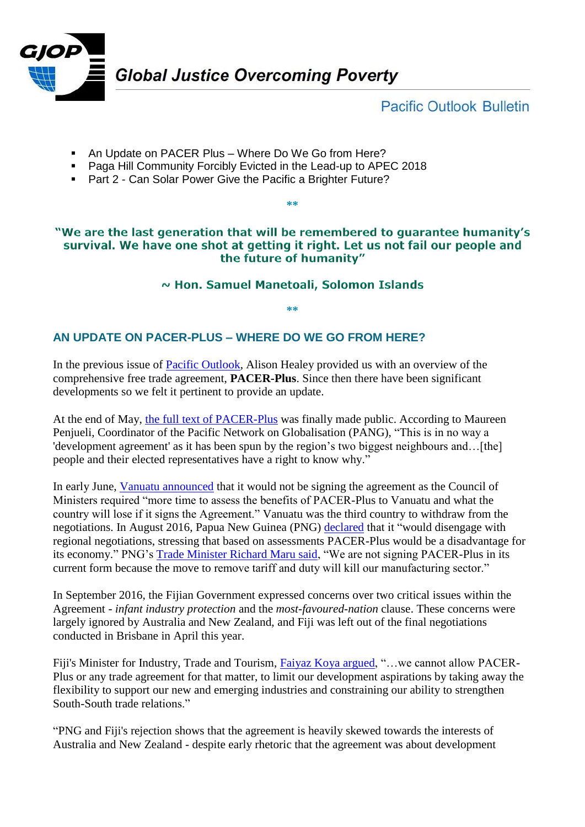

**Pacific Outlook Bulletin** 

- An Update on PACER Plus Where Do We Go from Here?
- **Paga Hill Community Forcibly Evicted in the Lead-up to APEC 2018**
- Part 2 Can Solar Power Give the Pacific a Brighter Future?

## "We are the last generation that will be remembered to quarantee humanity's survival. We have one shot at getting it right. Let us not fail our people and the future of humanity"

**\*\***

~ Hon. Samuel Manetoali, Solomon Islands

**\*\***

## **AN UPDATE ON PACER-PLUS – WHERE DO WE GO FROM HERE?**

In the previous issue of **Pacific Outlook**, Alison Healey provided us with an overview of the comprehensive free trade agreement, **PACER-Plus**. Since then there have been significant developments so we felt it pertinent to provide an update.

At the end of May, [the full text of PACER-Plus](https://www.mfat.govt.nz/en/trade/free-trade-agreements/agreements-under-negotiation/pacer/pacer-plus-full-text/) was finally made public. According to Maureen Penjueli, Coordinator of the Pacific Network on Globalisation (PANG), "This is in no way a 'development agreement' as it has been spun by the region's two biggest neighbours and…[the] people and their elected representatives have a right to know why."

In early June, [Vanuatu announced](http://dailypost.vu/news/vanuatu-will-not-sign-pacer-plus/article_06ad664c-870d-5ea8-b79f-ddbee0929c80.html) that it would not be signing the agreement as the Council of Ministers required "more time to assess the benefits of PACER-Plus to Vanuatu and what the country will lose if it signs the Agreement." Vanuatu was the third country to withdraw from the negotiations. In August 2016, Papua New Guinea (PNG) [declared](https://asiapacificreport.nz/2017/06/13/joey-tau-can-the-msg-bloc-walk-out-on-the-pacer-plus-trade-deal/) that it "would disengage with regional negotiations, stressing that based on assessments PACER-Plus would be a disadvantage for its economy." PNG's [Trade Minister Richard Maru said,](https://asiapacificreport.nz/2017/06/13/joey-tau-can-the-msg-bloc-walk-out-on-the-pacer-plus-trade-deal/) "We are not signing PACER-Plus in its current form because the move to remove tariff and duty will kill our manufacturing sector."

In September 2016, the Fijian Government expressed concerns over two critical issues within the Agreement - *infant industry protection* and the *most-favoured-nation* clause. These concerns were largely ignored by Australia and New Zealand, and Fiji was left out of the final negotiations conducted in Brisbane in April this year.

Fiji's Minister for Industry, Trade and Tourism, [Faiyaz Koya argued,](http://www.fijitimes.com/story.aspx?id=404835) "…we cannot allow PACER-Plus or any trade agreement for that matter, to limit our development aspirations by taking away the flexibility to support our new and emerging industries and constraining our ability to strengthen South-South trade relations."

"PNG and Fiji's rejection shows that the agreement is heavily skewed towards the interests of Australia and New Zealand - despite early rhetoric that the agreement was about development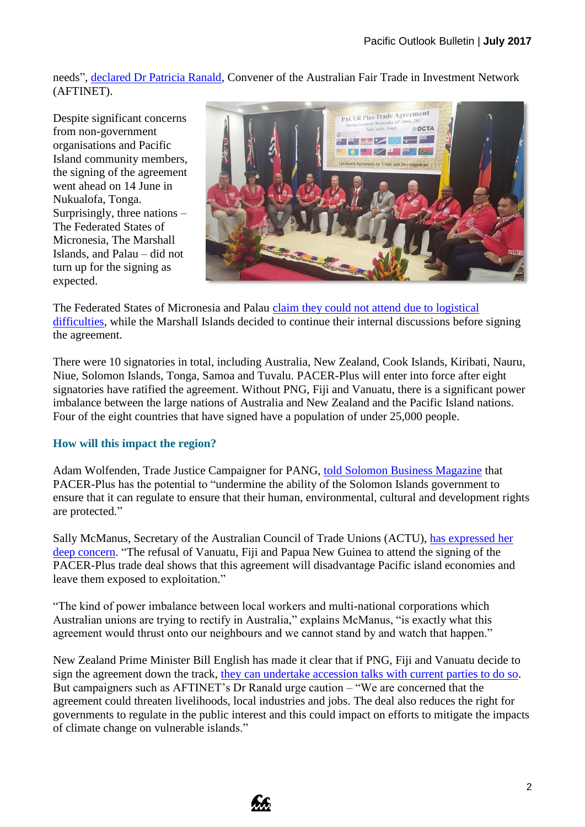needs", [declared Dr Patricia Ranald,](http://www.sbs.com.au/news/article/2017/04/20/fiji-and-png-opt-out-pacer-plus-trade-deal-reached) Convener of the Australian Fair Trade in Investment Network (AFTINET).

Despite significant concerns from non-government organisations and Pacific Island community members, the signing of the agreement went ahead on 14 June in Nukualofa, Tonga. Surprisingly, three nations – The Federated States of Micronesia, The Marshall Islands, and Palau – did not turn up for the signing as expected.



The Federated States of Micronesia and Palau [claim they could not attend due to logistical](http://www.talamua.com/samoa-signs-pacer-plus/)  [difficulties,](http://www.talamua.com/samoa-signs-pacer-plus/) while the Marshall Islands decided to continue their internal discussions before signing the agreement.

There were 10 signatories in total, including Australia, New Zealand, Cook Islands, Kiribati, Nauru, Niue, Solomon Islands, Tonga, Samoa and Tuvalu. PACER-Plus will enter into force after eight signatories have ratified the agreement. Without PNG, Fiji and Vanuatu, there is a significant power imbalance between the large nations of Australia and New Zealand and the Pacific Island nations. Four of the eight countries that have signed have a population of under 25,000 people.

## **How will this impact the region?**

Adam Wolfenden, Trade Justice Campaigner for PANG, [told Solomon Business Magazine](http://sbmonline.sb/index.php/2017/06/05/pacer-plus-trade-deal-big-risks-questionable-gains/) that PACER-Plus has the potential to "undermine the ability of the Solomon Islands government to ensure that it can regulate to ensure that their human, environmental, cultural and development rights are protected."

Sally McManus, Secretary of the Australian Council of Trade Unions (ACTU), [has expressed her](https://www.actu.org.au/actu-media/media-releases/2017/pacer-plus-agreement-fails-pacific-economies)  [deep concern.](https://www.actu.org.au/actu-media/media-releases/2017/pacer-plus-agreement-fails-pacific-economies) "The refusal of Vanuatu, Fiji and Papua New Guinea to attend the signing of the PACER-Plus trade deal shows that this agreement will disadvantage Pacific island economies and leave them exposed to exploitation."

"The kind of power imbalance between local workers and multi-national corporations which Australian unions are trying to rectify in Australia," explains McManus, "is exactly what this agreement would thrust onto our neighbours and we cannot stand by and watch that happen."

New Zealand Prime Minister Bill English has made it clear that if PNG, Fiji and Vanuatu decide to sign the agreement down the track, [they can undertake accession talks with current parties to do so.](http://www.ictsd.org/bridges-news/bridges/news/pacer-plus-countries-prepare-for-trade-deal-ratification) But campaigners such as AFTINET's Dr Ranald urge caution – "We are concerned that the agreement could threaten livelihoods, local industries and jobs. The deal also reduces the right for governments to regulate in the public interest and this could impact on efforts to mitigate the impacts of climate change on vulnerable islands."

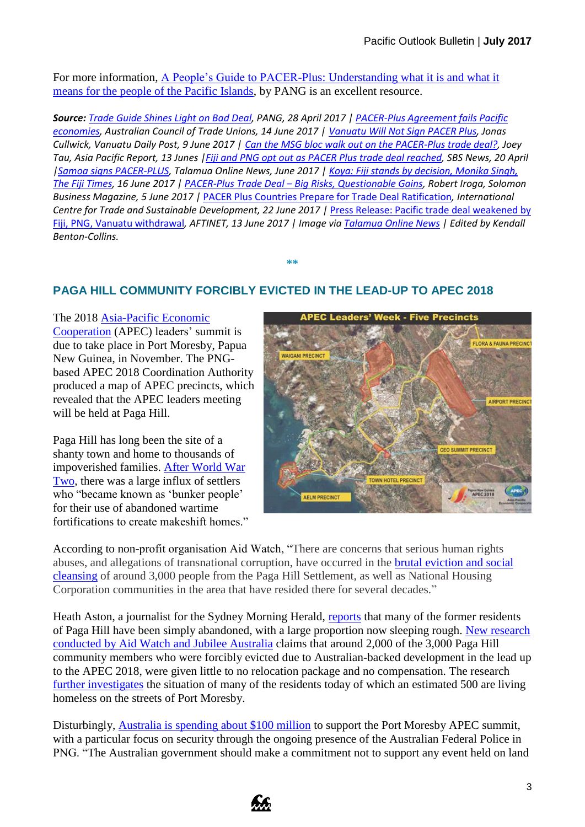For more information, [A People's Guide to PACER-Plus: Understanding what it is and what it](http://www.pang.org.fj/media/PANG%20Trade%20Documents/For%20Upload/17)  [means for the people of the Pacific Islands,](http://www.pang.org.fj/media/PANG%20Trade%20Documents/For%20Upload/17) by PANG is an excellent resource.

*Source: [Trade Guide Shines Light on Bad Deal,](http://www.pang.org.fj/media/PANG%20Trade%20Documents/For%20Upload/18) PANG, 28 April 2017 | [PACER-Plus Agreement fails Pacific](https://www.actu.org.au/actu-media/media-releases/2017/pacer-plus-agreement-fails-pacific-economies)  [economies,](https://www.actu.org.au/actu-media/media-releases/2017/pacer-plus-agreement-fails-pacific-economies) Australian Council of Trade Unions, 14 June 2017 | [Vanuatu Will Not Sign PACER Plus,](http://dailypost.vu/news/vanuatu-will-not-sign-pacer-plus/article_06ad664c-870d-5ea8-b79f-ddbee0929c80.html) Jonas Cullwick, Vanuatu Daily Post, 9 June 2017 | [Can the MSG bloc walk out on the PACER-Plus trade deal?,](https://asiapacificreport.nz/2017/06/13/joey-tau-can-the-msg-bloc-walk-out-on-the-pacer-plus-trade-deal/) Joey Tau, Asia Pacific Report, 13 Junes [|Fiji and PNG opt out as PACER Plus trade deal reached,](http://www.sbs.com.au/news/article/2017/04/20/fiji-and-png-opt-out-pacer-plus-trade-deal-reached) SBS News, 20 April [|Samoa signs PACER-PLUS,](http://www.talamua.com/samoa-signs-pacer-plus/) Talamua Online News, June 2017 | [Koya: Fiji stands by decision, Monika Singh,](http://www.fijitimes.com/story.aspx?id=404835)  [The Fiji Times,](http://www.fijitimes.com/story.aspx?id=404835) 16 June 2017 | PACER-Plus Trade Deal – [Big Risks, Questionable Gains,](http://sbmonline.sb/index.php/2017/06/05/pacer-plus-trade-deal-big-risks-questionable-gains/) Robert Iroga, Solomon Business Magazine, 5 June 2017 |* [PACER Plus Countries Prepare for Trade Deal Ratification](http://www.ictsd.org/bridges-news/bridges/news/pacer-plus-countries-prepare-for-trade-deal-ratification)*, International Centre for Trade and Sustainable Development, 22 June 2017 |* [Press Release: Pacific trade deal weakened by](http://www.scoop.co.nz/stories/WO1706/S00020/pacific-trade-deal-weakened-by-fiji-png-vanuatu-withdrawl.htm)  [Fiji, PNG, Vanuatu withdrawal](http://www.scoop.co.nz/stories/WO1706/S00020/pacific-trade-deal-weakened-by-fiji-png-vanuatu-withdrawl.htm)*, AFTINET, 13 June 2017 | Image via [Talamua Online News](http://www.talamua.com/samoa-signs-pacer-plus/) | Edited by Kendall Benton-Collins.*

**\*\***

## **PAGA HILL COMMUNITY FORCIBLY EVICTED IN THE LEAD-UP TO APEC 2018**

The 2018 [Asia-Pacific Economic](https://www.apec.org/)  [Cooperation](https://www.apec.org/) (APEC) leaders' summit is due to take place in Port Moresby, Papua New Guinea, in November. The PNGbased APEC 2018 Coordination Authority produced a map of APEC precincts, which revealed that the APEC leaders meeting will be held at Paga Hill.

Paga Hill has long been the site of a shanty town and home to thousands of impoverished families. [After World War](http://www.smh.com.au/federal-politics/political-news/the-dame-the-filmmaker-the-property-developer-and-pngs-most-soughtafter-piece-of-land-20160401-gnwa4f)  [Two,](http://www.smh.com.au/federal-politics/political-news/the-dame-the-filmmaker-the-property-developer-and-pngs-most-soughtafter-piece-of-land-20160401-gnwa4f) there was a large influx of settlers who "became known as 'bunker people' for their use of abandoned wartime fortifications to create makeshift homes."



According to non-profit organisation Aid Watch, "There are concerns that serious human rights abuses, and allegations of transnational corruption, have occurred in the [brutal eviction and social](http://statecrime.org/state-crime-research/the-demolition-of-paga-hill-a-report-by-the-international-state-crime-initiative/)  [cleansing](http://statecrime.org/state-crime-research/the-demolition-of-paga-hill-a-report-by-the-international-state-crime-initiative/) of around 3,000 people from the Paga Hill Settlement, as well as National Housing Corporation communities in the area that have resided there for several decades."

Heath Aston, a journalist for the Sydney Morning Herald, [reports](http://www.smh.com.au/federal-politics/political-news/port-moresby-settlers-evicted-to-make-way-for-australianbacked-development-abandoned-20170609-gwodh2.html) that many of the former residents of Paga Hill have been simply abandoned, with a large proportion now sleeping rough. [New research](https://www.change.org/p/the-hon-julie-bishop-mp-minister-for-foreign-affairs-australian-public-money-should-not-enrich-land-grabbers-in-papua-new-guinea/u/20513957?j=84965&sfmc_sub=325059134&l=32_HTML&u=14035156&mid=7259882&jb=1&utm_medium=email&utm_source=84965&utm_campaign=petition_update&sfmc_tk=RgEfACSv08I4IM032TyPDuaw9kVYq6x%2fN0WnQlJrfNEl0%2bKHO6jjOCnEaWsa1pfz)  [conducted by Aid Watch and Jubilee Australia](https://www.change.org/p/the-hon-julie-bishop-mp-minister-for-foreign-affairs-australian-public-money-should-not-enrich-land-grabbers-in-papua-new-guinea/u/20513957?j=84965&sfmc_sub=325059134&l=32_HTML&u=14035156&mid=7259882&jb=1&utm_medium=email&utm_source=84965&utm_campaign=petition_update&sfmc_tk=RgEfACSv08I4IM032TyPDuaw9kVYq6x%2fN0WnQlJrfNEl0%2bKHO6jjOCnEaWsa1pfz) claims that around 2,000 of the 3,000 Paga Hill community members who were forcibly evicted due to Australian-backed development in the lead up to the APEC 2018, were given little to no relocation package and no compensation. The research [further investigates](https://www.change.org/p/the-hon-julie-bishop-mp-minister-for-foreign-affairs-australian-public-money-should-not-enrich-land-grabbers-in-papua-new-guinea/u/20513957?j=84965&sfmc_sub=325059134&l=32_HTML&u=14035156&mid=7259882&jb=1&utm_medium=email&utm_source=84965&utm_campaign=petition_update&sfmc_tk=RgEfACSv08I4IM032TyPDuaw9kVYq6x%2fN0WnQlJrfNEl0%2bKHO6jjOCnEaWsa1pfz) the situation of many of the residents today of which an estimated 500 are living homeless on the streets of Port Moresby.

Disturbingly, [Australia is spending about \\$100 million](http://www.smh.com.au/federal-politics/political-news/port-moresby-settlers-evicted-to-make-way-for-australianbacked-development-abandoned-20170609-gwodh2.html) to support the Port Moresby APEC summit, with a particular focus on security through the ongoing presence of the Australian Federal Police in PNG. "The Australian government should make a commitment not to support any event held on land